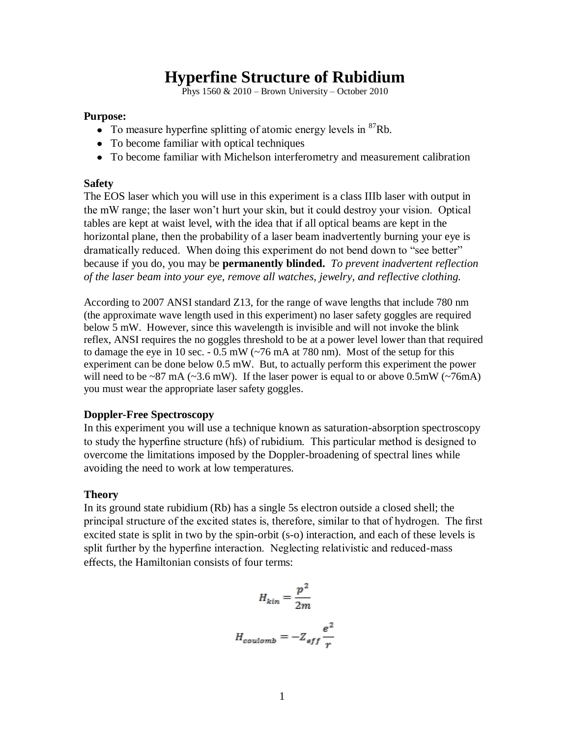# **Hyperfine Structure of Rubidium**

Phys  $1560 \& 2010$  – Brown University – October 2010

#### **Purpose:**

- To measure hyperfine splitting of atomic energy levels in  ${}^{87}$ Rb.
- To become familiar with optical techniques
- To become familiar with Michelson interferometry and measurement calibration

#### **Safety**

The EOS laser which you will use in this experiment is a class IIIb laser with output in the mW range; the laser won't hurt your skin, but it could destroy your vision. Optical tables are kept at waist level, with the idea that if all optical beams are kept in the horizontal plane, then the probability of a laser beam inadvertently burning your eye is dramatically reduced. When doing this experiment do not bend down to "see better" because if you do, you may be **permanently blinded.** *To prevent inadvertent reflection of the laser beam into your eye, remove all watches, jewelry, and reflective clothing.*

According to 2007 ANSI standard Z13, for the range of wave lengths that include 780 nm (the approximate wave length used in this experiment) no laser safety goggles are required below 5 mW. However, since this wavelength is invisible and will not invoke the blink reflex, ANSI requires the no goggles threshold to be at a power level lower than that required to damage the eye in 10 sec. - 0.5 mW (~76 mA at 780 nm). Most of the setup for this experiment can be done below 0.5 mW. But, to actually perform this experiment the power will need to be ~87 mA (~3.6 mW). If the laser power is equal to or above  $0.5 \text{mW}$  (~76mA) you must wear the appropriate laser safety goggles.

## **Doppler-Free Spectroscopy**

In this experiment you will use a technique known as saturation-absorption spectroscopy to study the hyperfine structure (hfs) of rubidium. This particular method is designed to overcome the limitations imposed by the Doppler-broadening of spectral lines while avoiding the need to work at low temperatures.

## **Theory**

In its ground state rubidium (Rb) has a single 5s electron outside a closed shell; the principal structure of the excited states is, therefore, similar to that of hydrogen. The first excited state is split in two by the spin-orbit (s-o) interaction, and each of these levels is split further by the hyperfine interaction. Neglecting relativistic and reduced-mass effects, the Hamiltonian consists of four terms:

$$
H_{kin} = \frac{p^2}{2m}
$$

$$
H_{coulomb} = -Z_{eff} \frac{e^2}{r}
$$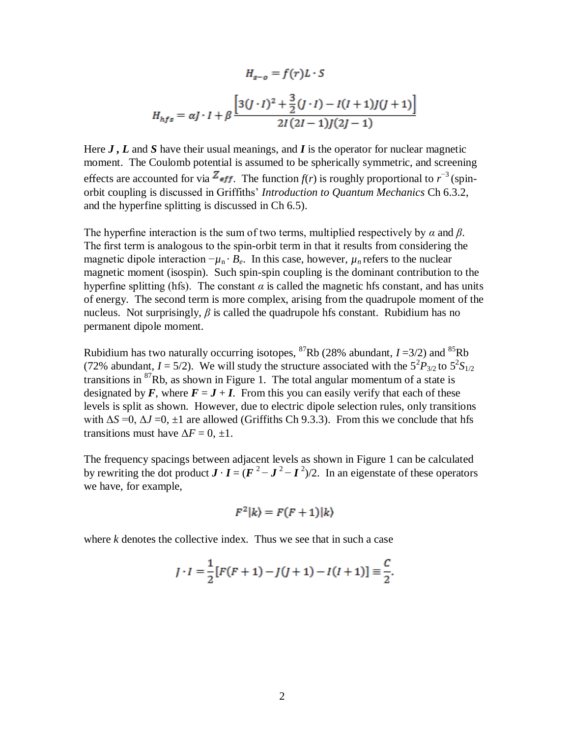$$
H_{s-o} = f(r)L \cdot S
$$
  

$$
H_{hfs} = \alpha J \cdot I + \beta \frac{\left[3(J \cdot I)^2 + \frac{3}{2}(J \cdot I) - I(I+1)J(J+1)\right]}{2I(2I-1)J(2J-1)}
$$

Here *J , L* and *S* have their usual meanings, and *I* is the operator for nuclear magnetic moment. The Coulomb potential is assumed to be spherically symmetric, and screening effects are accounted for via  $Z_{eff}$ . The function  $f(r)$  is roughly proportional to  $r^{-3}$  (spinorbit coupling is discussed in Griffiths' *Introduction to Quantum Mechanics* Ch 6.3.2, and the hyperfine splitting is discussed in Ch 6.5).

The hyperfine interaction is the sum of two terms, multiplied respectively by *α* and *β*. The first term is analogous to the spin-orbit term in that it results from considering the magnetic dipole interaction  $-\mu_n \cdot B_e$ . In this case, however,  $\mu_n$  refers to the nuclear magnetic moment (isospin). Such spin-spin coupling is the dominant contribution to the hyperfine splitting (hfs). The constant  $\alpha$  is called the magnetic hfs constant, and has units of energy. The second term is more complex, arising from the quadrupole moment of the nucleus. Not surprisingly, *β* is called the quadrupole hfs constant. Rubidium has no permanent dipole moment.

Rubidium has two naturally occurring isotopes, <sup>87</sup>Rb (28% abundant,  $I = 3/2$ ) and <sup>85</sup>Rb (72% abundant,  $I = 5/2$ ). We will study the structure associated with the  $5^{2}P_{3/2}$  to  $5^{2}S_{1/2}$ transitions in  ${}^{87}Rb$ , as shown in Figure 1. The total angular momentum of a state is designated by F, where  $F = J + I$ . From this you can easily verify that each of these levels is split as shown. However, due to electric dipole selection rules, only transitions with  $\Delta S = 0$ ,  $\Delta J = 0$ ,  $\pm 1$  are allowed (Griffiths Ch 9.3.3). From this we conclude that hfs transitions must have  $\Delta F = 0, \pm 1$ .

The frequency spacings between adjacent levels as shown in Figure 1 can be calculated by rewriting the dot product  $J \cdot I = (F^2 - J^2 - I^2)/2$ . In an eigenstate of these operators we have, for example,

$$
F^2|k\rangle = F(F+1)|k\rangle
$$

where *k* denotes the collective index. Thus we see that in such a case

$$
J \cdot I = \frac{1}{2} [F(F+1) - J(J+1) - I(I+1)] \equiv \frac{C}{2}.
$$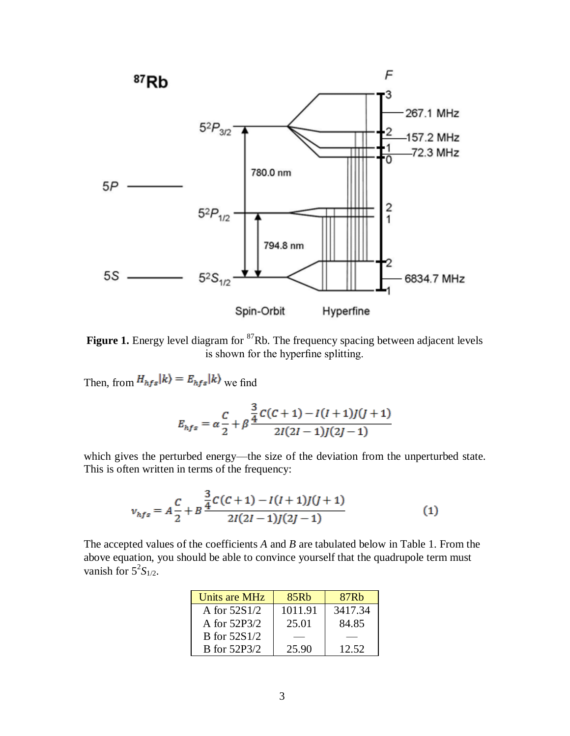

Figure 1. Energy level diagram for <sup>87</sup>Rb. The frequency spacing between adjacent levels is shown for the hyperfine splitting.

Then, from  $H_{hfs}|k\rangle = E_{hfs}|k\rangle$  we find

$$
E_{hfs} = \alpha \frac{C}{2} + \beta \frac{\frac{3}{4}C(C+1) - I(I+1)J(J+1)}{2I(2I-1)J(2J-1)}
$$

which gives the perturbed energy—the size of the deviation from the unperturbed state. This is often written in terms of the frequency:

$$
v_{hfs} = A\frac{C}{2} + B\frac{\frac{3}{4}C(C+1) - I(I+1)J(J+1)}{2I(2I-1)J(2J-1)}
$$
(1)

The accepted values of the coefficients *A* and *B* are tabulated below in Table 1. From the above equation, you should be able to convince yourself that the quadrupole term must vanish for  $5^2S_{1/2}$ .

| Units are MHz       | 85Rb    | 87 <sub>Rb</sub> |
|---------------------|---------|------------------|
| A for $52S1/2$      | 1011.91 | 3417.34          |
| A for 52P3/2        | 25.01   | 84.85            |
| <b>B</b> for 52S1/2 |         |                  |
| <b>B</b> for 52P3/2 | 25.90   | 12.52            |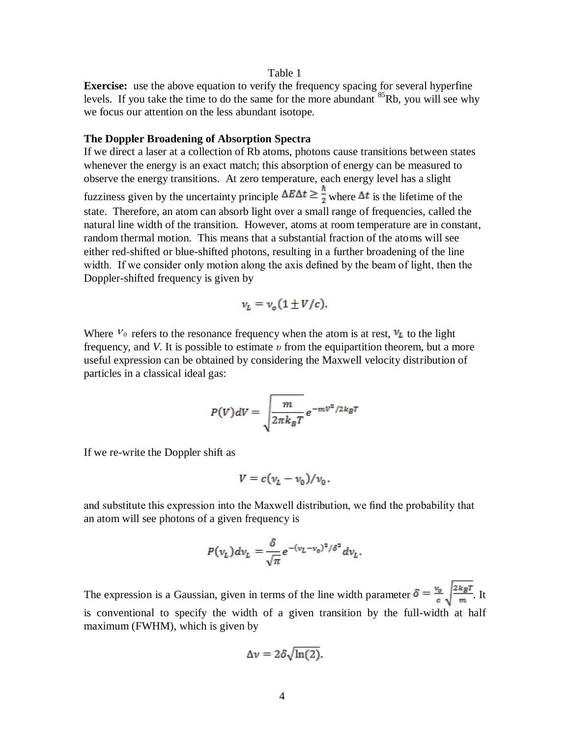#### Table 1

**Exercise:** use the above equation to verify the frequency spacing for several hyperfine levels. If you take the time to do the same for the more abundant  ${}^{85}Rb$ , you will see why we focus our attention on the less abundant isotope.

## **The Doppler Broadening of Absorption Spectra**

If we direct a laser at a collection of Rb atoms, photons cause transitions between states whenever the energy is an exact match; this absorption of energy can be measured to observe the energy transitions. At zero temperature, each energy level has a slight fuzziness given by the uncertainty principle  $\Delta E \Delta t \geq \frac{\hbar}{2}$  where  $\Delta t$  is the lifetime of the state. Therefore, an atom can absorb light over a small range of frequencies, called the natural line width of the transition. However, atoms at room temperature are in constant, random thermal motion. This means that a substantial fraction of the atoms will see either red-shifted or blue-shifted photons, resulting in a further broadening of the line width. If we consider only motion along the axis defined by the beam of light, then the Doppler-shifted frequency is given by

$$
v_L = v_o (1 \pm V/c).
$$

Where  $V_0$  refers to the resonance frequency when the atom is at rest,  $V_L$  to the light frequency, and *V*. It is possible to estimate *υ* from the equipartition theorem, but a more useful expression can be obtained by considering the Maxwell velocity distribution of particles in a classical ideal gas:

$$
P(V)dV = \sqrt{\frac{m}{2\pi k_B T}} e^{-mV^2/2k_B T}
$$

If we re-write the Doppler shift as

$$
V=c(\nu_L-\nu_0)/\nu_0.
$$

and substitute this expression into the Maxwell distribution, we find the probability that an atom will see photons of a given frequency is

$$
P(v_L) dv_L = \frac{\delta}{\sqrt{\pi}} e^{-(v_L - v_0)^2/\delta^2} dv_L.
$$

The expression is a Gaussian, given in terms of the line width parameter  $\delta = \frac{v_o}{c} \sqrt{\frac{2 k_B T}{m}}$ . It is conventional to specify the width of a given transition by the full-width at half maximum (FWHM), which is given by

$$
\Delta v = 2\delta \sqrt{\ln(2)}.
$$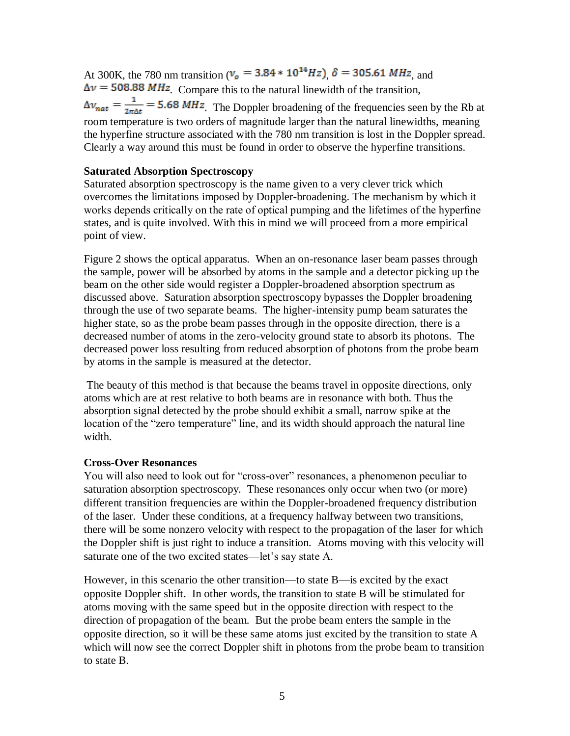At 300K, the 780 nm transition ( $v_o = 3.84 * 10^{14} Hz$ ),  $\delta = 305.61 MHz$ , and  $\Delta v = 508.88 \, MHz$ . Compare this to the natural linewidth of the transition,  $\Delta v_{nat} = \frac{1}{2\pi\Delta t}$  = 5.68 MHz. The Doppler broadening of the frequencies seen by the Rb at room temperature is two orders of magnitude larger than the natural linewidths, meaning the hyperfine structure associated with the 780 nm transition is lost in the Doppler spread. Clearly a way around this must be found in order to observe the hyperfine transitions.

## **Saturated Absorption Spectroscopy**

Saturated absorption spectroscopy is the name given to a very clever trick which overcomes the limitations imposed by Doppler-broadening. The mechanism by which it works depends critically on the rate of optical pumping and the lifetimes of the hyperfine states, and is quite involved. With this in mind we will proceed from a more empirical point of view.

Figure 2 shows the optical apparatus. When an on-resonance laser beam passes through the sample, power will be absorbed by atoms in the sample and a detector picking up the beam on the other side would register a Doppler-broadened absorption spectrum as discussed above. Saturation absorption spectroscopy bypasses the Doppler broadening through the use of two separate beams. The higher-intensity pump beam saturates the higher state, so as the probe beam passes through in the opposite direction, there is a decreased number of atoms in the zero-velocity ground state to absorb its photons. The decreased power loss resulting from reduced absorption of photons from the probe beam by atoms in the sample is measured at the detector.

The beauty of this method is that because the beams travel in opposite directions, only atoms which are at rest relative to both beams are in resonance with both. Thus the absorption signal detected by the probe should exhibit a small, narrow spike at the location of the "zero temperature" line, and its width should approach the natural line width.

## **Cross-Over Resonances**

You will also need to look out for "cross-over" resonances, a phenomenon peculiar to saturation absorption spectroscopy. These resonances only occur when two (or more) different transition frequencies are within the Doppler-broadened frequency distribution of the laser. Under these conditions, at a frequency halfway between two transitions, there will be some nonzero velocity with respect to the propagation of the laser for which the Doppler shift is just right to induce a transition. Atoms moving with this velocity will saturate one of the two excited states—let's say state A.

However, in this scenario the other transition—to state B—is excited by the exact opposite Doppler shift. In other words, the transition to state B will be stimulated for atoms moving with the same speed but in the opposite direction with respect to the direction of propagation of the beam. But the probe beam enters the sample in the opposite direction, so it will be these same atoms just excited by the transition to state A which will now see the correct Doppler shift in photons from the probe beam to transition to state B.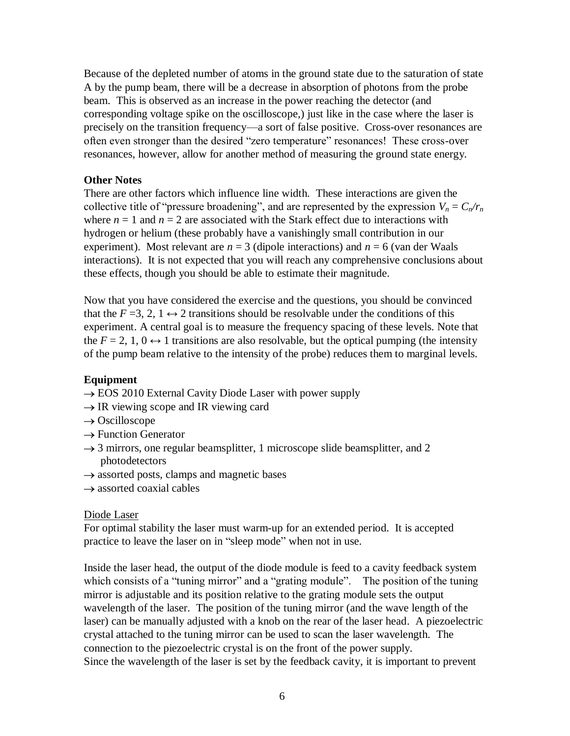Because of the depleted number of atoms in the ground state due to the saturation of state A by the pump beam, there will be a decrease in absorption of photons from the probe beam. This is observed as an increase in the power reaching the detector (and corresponding voltage spike on the oscilloscope,) just like in the case where the laser is precisely on the transition frequency—a sort of false positive. Cross-over resonances are often even stronger than the desired "zero temperature" resonances! These cross-over resonances, however, allow for another method of measuring the ground state energy.

# **Other Notes**

There are other factors which influence line width. These interactions are given the collective title of "pressure broadening", and are represented by the expression  $V_n = C_n/r_n$ where  $n = 1$  and  $n = 2$  are associated with the Stark effect due to interactions with hydrogen or helium (these probably have a vanishingly small contribution in our experiment). Most relevant are  $n = 3$  (dipole interactions) and  $n = 6$  (van der Waals interactions). It is not expected that you will reach any comprehensive conclusions about these effects, though you should be able to estimate their magnitude.

Now that you have considered the exercise and the questions, you should be convinced that the  $F = 3, 2, 1 \leftrightarrow 2$  transitions should be resolvable under the conditions of this experiment. A central goal is to measure the frequency spacing of these levels. Note that the  $F = 2, 1, 0 \leftrightarrow 1$  transitions are also resolvable, but the optical pumping (the intensity of the pump beam relative to the intensity of the probe) reduces them to marginal levels.

## **Equipment**

- $\rightarrow$  EOS 2010 External Cavity Diode Laser with power supply
- $\rightarrow$  IR viewing scope and IR viewing card
- $\rightarrow$  Oscilloscope
- $\rightarrow$  Function Generator
- $\rightarrow$  3 mirrors, one regular beamsplitter, 1 microscope slide beamsplitter, and 2 photodetectors
- $\rightarrow$  assorted posts, clamps and magnetic bases
- $\rightarrow$  assorted coaxial cables

## Diode Laser

For optimal stability the laser must warm-up for an extended period. It is accepted practice to leave the laser on in "sleep mode" when not in use.

Inside the laser head, the output of the diode module is feed to a cavity feedback system which consists of a "tuning mirror" and a "grating module". The position of the tuning mirror is adjustable and its position relative to the grating module sets the output wavelength of the laser. The position of the tuning mirror (and the wave length of the laser) can be manually adjusted with a knob on the rear of the laser head. A piezoelectric crystal attached to the tuning mirror can be used to scan the laser wavelength. The connection to the piezoelectric crystal is on the front of the power supply. Since the wavelength of the laser is set by the feedback cavity, it is important to prevent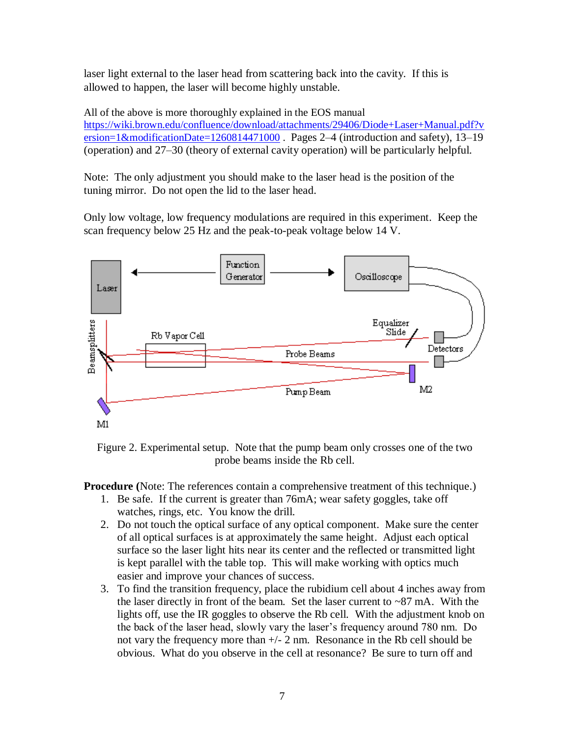laser light external to the laser head from scattering back into the cavity. If this is allowed to happen, the laser will become highly unstable.

All of the above is more thoroughly explained in the EOS manual [https://wiki.brown.edu/confluence/download/attachments/29406/Diode+Laser+Manual.pdf?v](https://wiki.brown.edu/confluence/download/attachments/29406/Diode+Laser+Manual.pdf?version=1&modificationDate=1260814471000) [ersion=1&modificationDate=1260814471000](https://wiki.brown.edu/confluence/download/attachments/29406/Diode+Laser+Manual.pdf?version=1&modificationDate=1260814471000). Pages 2-4 (introduction and safety), 13-19 (operation) and 27–30 (theory of external cavity operation) will be particularly helpful.

Note: The only adjustment you should make to the laser head is the position of the tuning mirror. Do not open the lid to the laser head.

Only low voltage, low frequency modulations are required in this experiment. Keep the scan frequency below 25 Hz and the peak-to-peak voltage below 14 V.



Figure 2. Experimental setup. Note that the pump beam only crosses one of the two probe beams inside the Rb cell.

**Procedure (**Note: The references contain a comprehensive treatment of this technique.)

- 1. Be safe. If the current is greater than 76mA; wear safety goggles, take off watches, rings, etc. You know the drill.
- 2. Do not touch the optical surface of any optical component. Make sure the center of all optical surfaces is at approximately the same height. Adjust each optical surface so the laser light hits near its center and the reflected or transmitted light is kept parallel with the table top. This will make working with optics much easier and improve your chances of success.
- 3. To find the transition frequency, place the rubidium cell about 4 inches away from the laser directly in front of the beam. Set the laser current to  $\sim 87$  mA. With the lights off, use the IR goggles to observe the Rb cell. With the adjustment knob on the back of the laser head, slowly vary the laser's frequency around 780 nm. Do not vary the frequency more than  $+/- 2$  nm. Resonance in the Rb cell should be obvious. What do you observe in the cell at resonance? Be sure to turn off and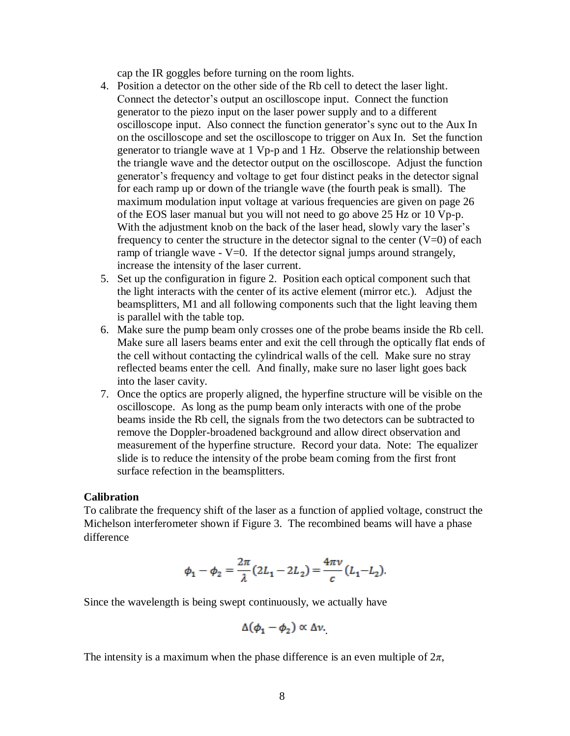cap the IR goggles before turning on the room lights.

- 4. Position a detector on the other side of the Rb cell to detect the laser light. Connect the detector's output an oscilloscope input. Connect the function generator to the piezo input on the laser power supply and to a different oscilloscope input. Also connect the function generator's sync out to the Aux In on the oscilloscope and set the oscilloscope to trigger on Aux In. Set the function generator to triangle wave at 1 Vp-p and 1 Hz. Observe the relationship between the triangle wave and the detector output on the oscilloscope. Adjust the function generator's frequency and voltage to get four distinct peaks in the detector signal for each ramp up or down of the triangle wave (the fourth peak is small). The maximum modulation input voltage at various frequencies are given on page 26 of the EOS laser manual but you will not need to go above 25 Hz or 10 Vp-p. With the adjustment knob on the back of the laser head, slowly vary the laser's frequency to center the structure in the detector signal to the center  $(V=0)$  of each ramp of triangle wave  $-V=0$ . If the detector signal jumps around strangely, increase the intensity of the laser current.
- 5. Set up the configuration in figure 2. Position each optical component such that the light interacts with the center of its active element (mirror etc.). Adjust the beamsplitters, M1 and all following components such that the light leaving them is parallel with the table top.
- 6. Make sure the pump beam only crosses one of the probe beams inside the Rb cell. Make sure all lasers beams enter and exit the cell through the optically flat ends of the cell without contacting the cylindrical walls of the cell. Make sure no stray reflected beams enter the cell. And finally, make sure no laser light goes back into the laser cavity.
- 7. Once the optics are properly aligned, the hyperfine structure will be visible on the oscilloscope. As long as the pump beam only interacts with one of the probe beams inside the Rb cell, the signals from the two detectors can be subtracted to remove the Doppler-broadened background and allow direct observation and measurement of the hyperfine structure. Record your data. Note: The equalizer slide is to reduce the intensity of the probe beam coming from the first front surface refection in the beamsplitters.

#### **Calibration**

To calibrate the frequency shift of the laser as a function of applied voltage, construct the Michelson interferometer shown if Figure 3. The recombined beams will have a phase difference

$$
\phi_1 - \phi_2 = \frac{2\pi}{\lambda} (2L_1 - 2L_2) = \frac{4\pi\nu}{c} (L_1 - L_2).
$$

Since the wavelength is being swept continuously, we actually have

$$
\Delta(\phi_1-\phi_2)\propto \Delta \nu.
$$

The intensity is a maximum when the phase difference is an even multiple of  $2\pi$ ,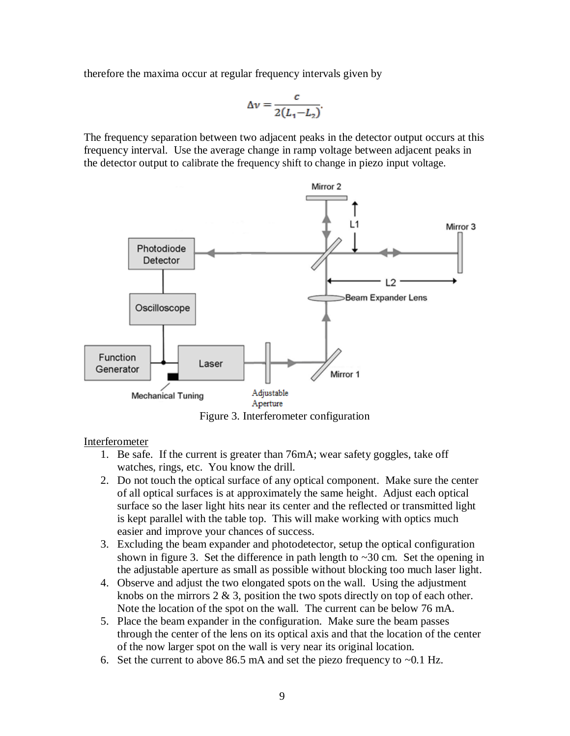therefore the maxima occur at regular frequency intervals given by

$$
\Delta v = \frac{c}{2(L_1 - L_2)}.
$$

The frequency separation between two adjacent peaks in the detector output occurs at this frequency interval. Use the average change in ramp voltage between adjacent peaks in the detector output to calibrate the frequency shift to change in piezo input voltage.



Figure 3. Interferometer configuration

# Interferometer

- 1. Be safe. If the current is greater than 76mA; wear safety goggles, take off watches, rings, etc. You know the drill.
- 2. Do not touch the optical surface of any optical component. Make sure the center of all optical surfaces is at approximately the same height. Adjust each optical surface so the laser light hits near its center and the reflected or transmitted light is kept parallel with the table top. This will make working with optics much easier and improve your chances of success.
- 3. Excluding the beam expander and photodetector, setup the optical configuration shown in figure 3. Set the difference in path length to  $\sim$ 30 cm. Set the opening in the adjustable aperture as small as possible without blocking too much laser light.
- 4. Observe and adjust the two elongated spots on the wall. Using the adjustment knobs on the mirrors  $2 \& 3$ , position the two spots directly on top of each other. Note the location of the spot on the wall. The current can be below 76 mA.
- 5. Place the beam expander in the configuration. Make sure the beam passes through the center of the lens on its optical axis and that the location of the center of the now larger spot on the wall is very near its original location.
- 6. Set the current to above 86.5 mA and set the piezo frequency to  $\sim 0.1$  Hz.